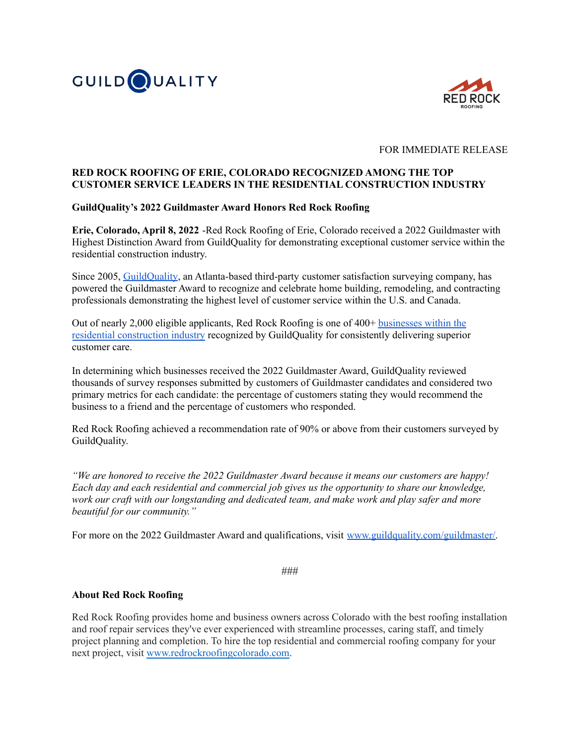



### FOR IMMEDIATE RELEASE

## **RED ROCK ROOFING OF ERIE, COLORADO RECOGNIZED AMONG THE TOP CUSTOMER SERVICE LEADERS IN THE RESIDENTIAL CONSTRUCTION INDUSTRY**

### **GuildQuality's 2022 Guildmaster Award Honors Red Rock Roofing**

**Erie, Colorado, April 8, 2022** -Red Rock Roofing of Erie, Colorado received a 2022 Guildmaster with Highest Distinction Award from GuildQuality for demonstrating exceptional customer service within the residential construction industry.

Since 2005, [GuildQuality](https://www.guildquality.com/), an Atlanta-based third-party customer satisfaction surveying company, has powered the Guildmaster Award to recognize and celebrate home building, remodeling, and contracting professionals demonstrating the highest level of customer service within the U.S. and Canada.

Out of nearly 2,000 eligible applicants, Red Rock Roofing is one of 400+ [businesses](https://www.guildquality.com/guildmaster) within the residential [construction](https://www.guildquality.com/guildmaster) industry recognized by GuildQuality for consistently delivering superior customer care.

In determining which businesses received the 2022 Guildmaster Award, GuildQuality reviewed thousands of survey responses submitted by customers of Guildmaster candidates and considered two primary metrics for each candidate: the percentage of customers stating they would recommend the business to a friend and the percentage of customers who responded.

Red Rock Roofing achieved a recommendation rate of 90% or above from their customers surveyed by GuildQuality.

*"We are honored to receive the 2022 Guildmaster Award because it means our customers are happy! Each day and each residential and commercial job gives us the opportunity to share our knowledge, work our craft with our longstanding and dedicated team, and make work and play safer and more beautiful for our community."*

For more on the 2022 Guildmaster Award and qualifications, visit [www.guildquality.com/guildmaster/.](http://www.guildquality.com/guildmaster/)

###

#### **About Red Rock Roofing**

Red Rock Roofing provides home and business owners across Colorado with the best roofing installation and roof repair services they've ever experienced with streamline processes, caring staff, and timely project planning and completion. To hire the top residential and commercial roofing company for your next project, visit [www.redrockroofingcolorado.com.](http://www.redrockroofingcolorado.com/)